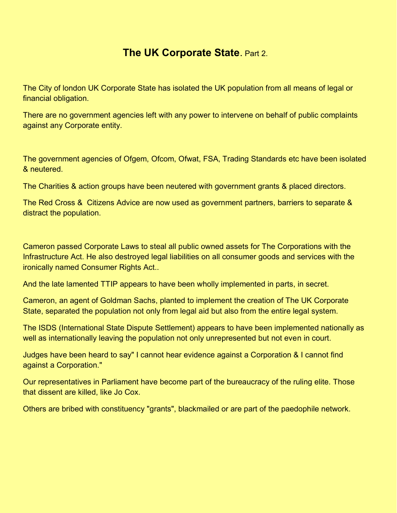## **The UK Corporate State**. Part 2.

The City of london UK Corporate State has isolated the UK population from all means of legal or financial obligation.

There are no government agencies left with any power to intervene on behalf of public complaints against any Corporate entity.

The government agencies of Ofgem, Ofcom, Ofwat, FSA, Trading Standards etc have been isolated & neutered.

The Charities & action groups have been neutered with government grants & placed directors.

The Red Cross & Citizens Advice are now used as government partners, barriers to separate & distract the population.

Cameron passed Corporate Laws to steal all public owned assets for The Corporations with the Infrastructure Act. He also destroyed legal liabilities on all consumer goods and services with the ironically named Consumer Rights Act..

And the late lamented TTIP appears to have been wholly implemented in parts, in secret.

Cameron, an agent of Goldman Sachs, planted to implement the creation of The UK Corporate State, separated the population not only from legal aid but also from the entire legal system.

The ISDS (International State Dispute Settlement) appears to have been implemented nationally as well as internationally leaving the population not only unrepresented but not even in court.

Judges have been heard to say" I cannot hear evidence against a Corporation & I cannot find against a Corporation."

Our representatives in Parliament have become part of the bureaucracy of the ruling elite. Those that dissent are killed, like Jo Cox.

Others are bribed with constituency "grants", blackmailed or are part of the paedophile network.